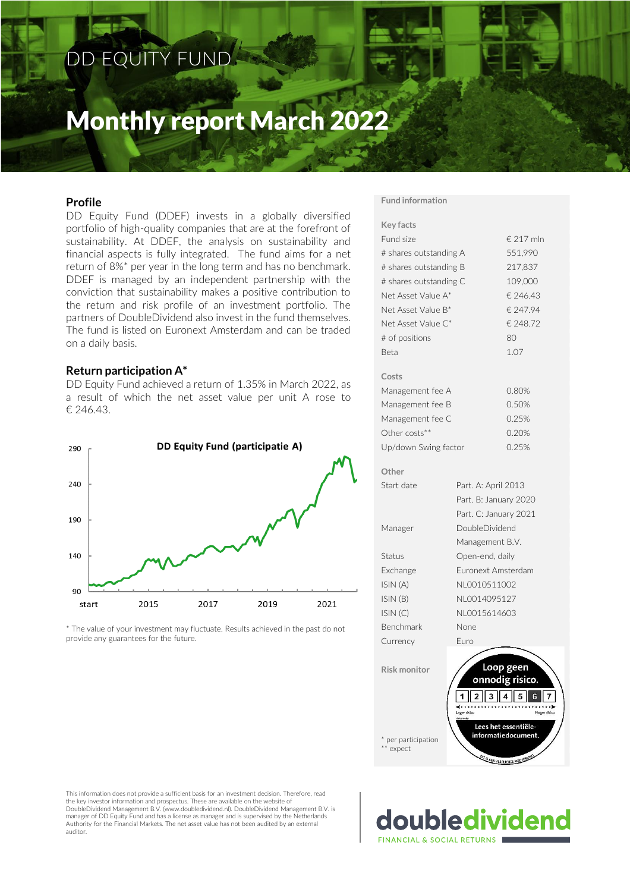## DD EQUITY FUND

## Monthly report March 2022

## **Profile**

DD Equity Fund (DDEF) invests in a globally diversified portfolio of high-quality companies that are at the forefront of sustainability. At DDEF, the analysis on sustainability and financial aspects is fully integrated. The fund aims for a net return of 8%\* per year in the long term and has no benchmark. DDEF is managed by an independent partnership with the conviction that sustainability makes a positive contribution to the return and risk profile of an investment portfolio. The partners of DoubleDividend also invest in the fund themselves. The fund is listed on Euronext Amsterdam and can be traded on a daily basis.

#### **Return participation A\***

DD Equity Fund achieved a return of 1.35% in March 2022, as a result of which the net asset value per unit A rose to € 246.43.



\* The value of your investment may fluctuate. Results achieved in the past do not provide any guarantees for the future.

#### **Fund information**

| <b>Key facts</b>       |                       |                                             |
|------------------------|-----------------------|---------------------------------------------|
| Fund size              |                       | € 217 mln                                   |
| # shares outstanding A | 551,990               |                                             |
| # shares outstanding B | 217,837               |                                             |
| # shares outstanding C | 109,000               |                                             |
| Net Asset Value A*     |                       | € 246.43                                    |
| Net Asset Value B*     |                       | € 247.94                                    |
| Net Asset Value C*     |                       | € 248.72                                    |
| # of positions         |                       | 80                                          |
| <b>Beta</b>            |                       | 1.07                                        |
| Costs                  |                       |                                             |
| Management fee A       |                       | 0.80%                                       |
| Management fee B       |                       | 0.50%                                       |
| Management fee C       |                       | 0.25%                                       |
| Other costs**          |                       | 0.20%                                       |
| Up/down Swing factor   |                       | 0.25%                                       |
| Other                  |                       |                                             |
| Start date             | Part. A: April 2013   |                                             |
|                        | Part. B: January 2020 |                                             |
|                        | Part. C: January 2021 |                                             |
| Manager                | DoubleDividend        |                                             |
|                        | Management B.V.       |                                             |
| Status                 | Open-end, daily       |                                             |
| Exchange               | Euronext Amsterdam    |                                             |
| ISIN (A)               | NL0010511002          |                                             |
| ISIN (B)               | NL0014095127          |                                             |
| ISIN(C)                | NL0015614603          |                                             |
| Benchmark              | None                  |                                             |
| Currency               | Furo                  |                                             |
|                        |                       |                                             |
| <b>Risk monitor</b>    |                       | Loop geen                                   |
|                        |                       | onnodig risico.                             |
|                        | .                     |                                             |
|                        | Lager risico          | <b>Hoger</b> risic                          |
| * per participation    |                       | Lees het essentiële-<br>informatiedocument. |
| ** expect              | DIT IS EEM            | <b>FOEDELING</b>                            |

This information does not provide a sufficient basis for an investment decision. Therefore, read the key investor information and prospectus. These are available on the website of DoubleDividend Management B.V. (www.doubledividend.nl). DoubleDividend Management B.V. is manager of DD Equity Fund and has a license as manager and is supervised by the Netherlands Authority for the Financial Markets. The net asset value has not been audited by an external auditor.

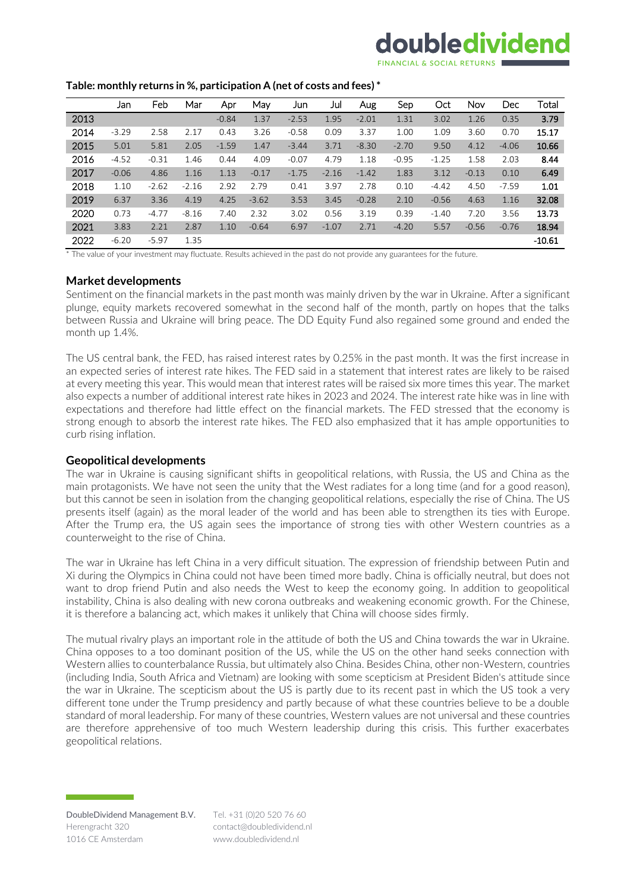## doubledividend

#### **Table: monthly returns in %, participation A (net of costs and fees) \***

|      | Jan     | Feb     | Mar     | Apr     | May     | Jun     | Jul     | Aug     | Sep     | Oct     | Nov     | Dec     | Total    |
|------|---------|---------|---------|---------|---------|---------|---------|---------|---------|---------|---------|---------|----------|
| 2013 |         |         |         | $-0.84$ | 1.37    | $-2.53$ | 1.95    | $-2.01$ | 1.31    | 3.02    | 1.26    | 0.35    | 3.79     |
| 2014 | $-3.29$ | 2.58    | 2.17    | 0.43    | 3.26    | $-0.58$ | 0.09    | 3.37    | 1.00    | 1.09    | 3.60    | 0.70    | 15.17    |
| 2015 | 5.01    | 5.81    | 2.05    | $-1.59$ | 1.47    | $-3.44$ | 3.71    | $-8.30$ | $-2.70$ | 9.50    | 4.12    | $-4.06$ | 10.66    |
| 2016 | $-4.52$ | $-0.31$ | 1.46    | 0.44    | 4.09    | $-0.07$ | 4.79    | 1.18    | $-0.95$ | $-1.25$ | 1.58    | 2.03    | 8.44     |
| 2017 | $-0.06$ | 4.86    | 1.16    | 1.13    | $-0.17$ | $-1.75$ | $-2.16$ | $-1.42$ | 1.83    | 3.12    | $-0.13$ | 0.10    | 6.49     |
| 2018 | 1.10    | $-2.62$ | $-2.16$ | 2.92    | 2.79    | 0.41    | 3.97    | 2.78    | 0.10    | $-4.42$ | 4.50    | $-7.59$ | 1.01     |
| 2019 | 6.37    | 3.36    | 4.19    | 4.25    | $-3.62$ | 3.53    | 3.45    | $-0.28$ | 2.10    | $-0.56$ | 4.63    | 1.16    | 32.08    |
| 2020 | 0.73    | $-4.77$ | $-8.16$ | 7.40    | 2.32    | 3.02    | 0.56    | 3.19    | 0.39    | $-1.40$ | 7.20    | 3.56    | 13.73    |
| 2021 | 3.83    | 2.21    | 2.87    | 1.10    | $-0.64$ | 6.97    | $-1.07$ | 2.71    | $-4.20$ | 5.57    | $-0.56$ | $-0.76$ | 18.94    |
| 2022 | $-6.20$ | $-5.97$ | 1.35    |         |         |         |         |         |         |         |         |         | $-10.61$ |

\* The value of your investment may fluctuate. Results achieved in the past do not provide any guarantees for the future.

### **Market developments**

Sentiment on the financial markets in the past month was mainly driven by the war in Ukraine. After a significant plunge, equity markets recovered somewhat in the second half of the month, partly on hopes that the talks between Russia and Ukraine will bring peace. The DD Equity Fund also regained some ground and ended the month up 1.4%.

The US central bank, the FED, has raised interest rates by 0.25% in the past month. It was the first increase in an expected series of interest rate hikes. The FED said in a statement that interest rates are likely to be raised at every meeting this year. This would mean that interest rates will be raised six more times this year. The market also expects a number of additional interest rate hikes in 2023 and 2024. The interest rate hike was in line with expectations and therefore had little effect on the financial markets. The FED stressed that the economy is strong enough to absorb the interest rate hikes. The FED also emphasized that it has ample opportunities to curb rising inflation.

#### **Geopolitical developments**

The war in Ukraine is causing significant shifts in geopolitical relations, with Russia, the US and China as the main protagonists. We have not seen the unity that the West radiates for a long time (and for a good reason), but this cannot be seen in isolation from the changing geopolitical relations, especially the rise of China. The US presents itself (again) as the moral leader of the world and has been able to strengthen its ties with Europe. After the Trump era, the US again sees the importance of strong ties with other Western countries as a counterweight to the rise of China.

The war in Ukraine has left China in a very difficult situation. The expression of friendship between Putin and Xi during the Olympics in China could not have been timed more badly. China is officially neutral, but does not want to drop friend Putin and also needs the West to keep the economy going. In addition to geopolitical instability, China is also dealing with new corona outbreaks and weakening economic growth. For the Chinese, it is therefore a balancing act, which makes it unlikely that China will choose sides firmly.

The mutual rivalry plays an important role in the attitude of both the US and China towards the war in Ukraine. China opposes to a too dominant position of the US, while the US on the other hand seeks connection with Western allies to counterbalance Russia, but ultimately also China. Besides China, other non-Western, countries (including India, South Africa and Vietnam) are looking with some scepticism at President Biden's attitude since the war in Ukraine. The scepticism about the US is partly due to its recent past in which the US took a very different tone under the Trump presidency and partly because of what these countries believe to be a double standard of moral leadership. For many of these countries, Western values are not universal and these countries are therefore apprehensive of too much Western leadership during this crisis. This further exacerbates geopolitical relations.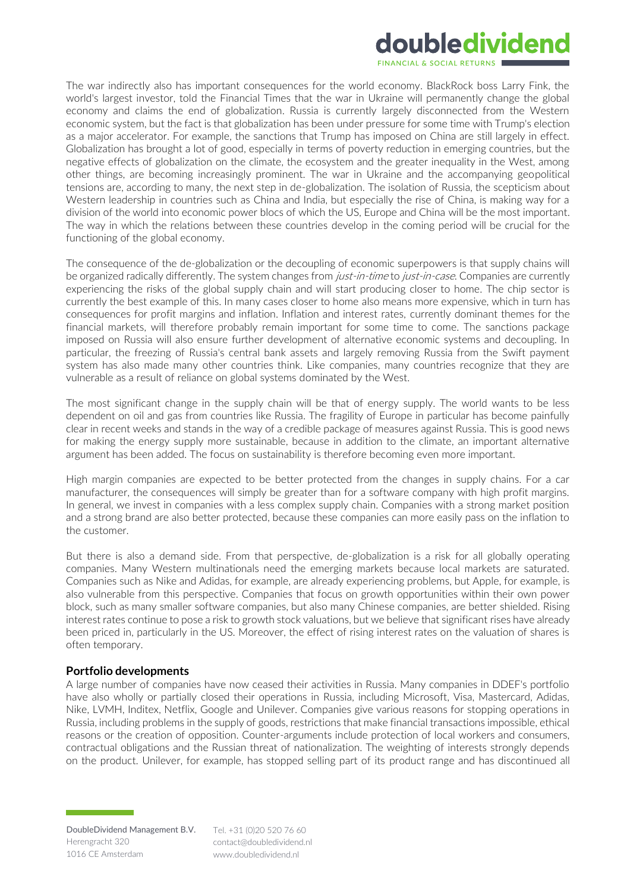## doubledividend

The war indirectly also has important consequences for the world economy. BlackRock boss Larry Fink, the world's largest investor, told the Financial Times that the war in Ukraine will permanently change the global economy and claims the end of globalization. Russia is currently largely disconnected from the Western economic system, but the fact is that globalization has been under pressure for some time with Trump's election as a major accelerator. For example, the sanctions that Trump has imposed on China are still largely in effect. Globalization has brought a lot of good, especially in terms of poverty reduction in emerging countries, but the negative effects of globalization on the climate, the ecosystem and the greater inequality in the West, among other things, are becoming increasingly prominent. The war in Ukraine and the accompanying geopolitical tensions are, according to many, the next step in de-globalization. The isolation of Russia, the scepticism about Western leadership in countries such as China and India, but especially the rise of China, is making way for a division of the world into economic power blocs of which the US, Europe and China will be the most important. The way in which the relations between these countries develop in the coming period will be crucial for the functioning of the global economy.

The consequence of the de-globalization or the decoupling of economic superpowers is that supply chains will be organized radically differently. The system changes from *just-in-time to just-in-case*. Companies are currently experiencing the risks of the global supply chain and will start producing closer to home. The chip sector is currently the best example of this. In many cases closer to home also means more expensive, which in turn has consequences for profit margins and inflation. Inflation and interest rates, currently dominant themes for the financial markets, will therefore probably remain important for some time to come. The sanctions package imposed on Russia will also ensure further development of alternative economic systems and decoupling. In particular, the freezing of Russia's central bank assets and largely removing Russia from the Swift payment system has also made many other countries think. Like companies, many countries recognize that they are vulnerable as a result of reliance on global systems dominated by the West.

The most significant change in the supply chain will be that of energy supply. The world wants to be less dependent on oil and gas from countries like Russia. The fragility of Europe in particular has become painfully clear in recent weeks and stands in the way of a credible package of measures against Russia. This is good news for making the energy supply more sustainable, because in addition to the climate, an important alternative argument has been added. The focus on sustainability is therefore becoming even more important.

High margin companies are expected to be better protected from the changes in supply chains. For a car manufacturer, the consequences will simply be greater than for a software company with high profit margins. In general, we invest in companies with a less complex supply chain. Companies with a strong market position and a strong brand are also better protected, because these companies can more easily pass on the inflation to the customer.

But there is also a demand side. From that perspective, de-globalization is a risk for all globally operating companies. Many Western multinationals need the emerging markets because local markets are saturated. Companies such as Nike and Adidas, for example, are already experiencing problems, but Apple, for example, is also vulnerable from this perspective. Companies that focus on growth opportunities within their own power block, such as many smaller software companies, but also many Chinese companies, are better shielded. Rising interest rates continue to pose a risk to growth stock valuations, but we believe that significant rises have already been priced in, particularly in the US. Moreover, the effect of rising interest rates on the valuation of shares is often temporary.

### **Portfolio developments**

A large number of companies have now ceased their activities in Russia. Many companies in DDEF's portfolio have also wholly or partially closed their operations in Russia, including Microsoft, Visa, Mastercard, Adidas, Nike, LVMH, Inditex, Netflix, Google and Unilever. Companies give various reasons for stopping operations in Russia, including problems in the supply of goods, restrictions that make financial transactions impossible, ethical reasons or the creation of opposition. Counter-arguments include protection of local workers and consumers, contractual obligations and the Russian threat of nationalization. The weighting of interests strongly depends on the product. Unilever, for example, has stopped selling part of its product range and has discontinued all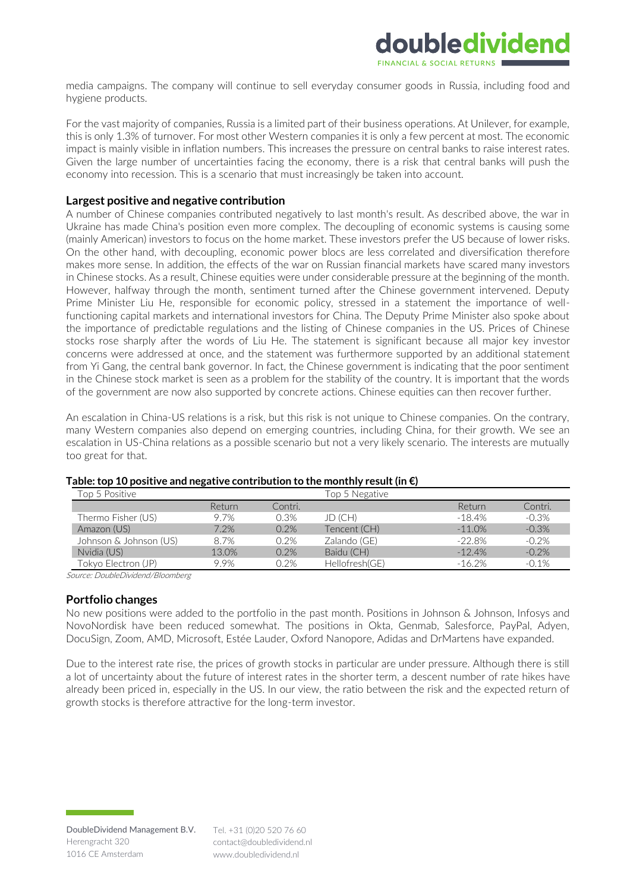

media campaigns. The company will continue to sell everyday consumer goods in Russia, including food and hygiene products.

For the vast majority of companies, Russia is a limited part of their business operations. At Unilever, for example, this is only 1.3% of turnover. For most other Western companies it is only a few percent at most. The economic impact is mainly visible in inflation numbers. This increases the pressure on central banks to raise interest rates. Given the large number of uncertainties facing the economy, there is a risk that central banks will push the economy into recession. This is a scenario that must increasingly be taken into account.

#### **Largest positive and negative contribution**

A number of Chinese companies contributed negatively to last month's result. As described above, the war in Ukraine has made China's position even more complex. The decoupling of economic systems is causing some (mainly American) investors to focus on the home market. These investors prefer the US because of lower risks. On the other hand, with decoupling, economic power blocs are less correlated and diversification therefore makes more sense. In addition, the effects of the war on Russian financial markets have scared many investors in Chinese stocks. As a result, Chinese equities were under considerable pressure at the beginning of the month. However, halfway through the month, sentiment turned after the Chinese government intervened. Deputy Prime Minister Liu He, responsible for economic policy, stressed in a statement the importance of wellfunctioning capital markets and international investors for China. The Deputy Prime Minister also spoke about the importance of predictable regulations and the listing of Chinese companies in the US. Prices of Chinese stocks rose sharply after the words of Liu He. The statement is significant because all major key investor concerns were addressed at once, and the statement was furthermore supported by an additional statement from Yi Gang, the central bank governor. In fact, the Chinese government is indicating that the poor sentiment in the Chinese stock market is seen as a problem for the stability of the country. It is important that the words of the government are now also supported by concrete actions. Chinese equities can then recover further.

An escalation in China-US relations is a risk, but this risk is not unique to Chinese companies. On the contrary, many Western companies also depend on emerging countries, including China, for their growth. We see an escalation in US-China relations as a possible scenario but not a very likely scenario. The interests are mutually too great for that.

| Top 5 Positive         |        |         | Top 5 Negative |           |         |
|------------------------|--------|---------|----------------|-----------|---------|
|                        | Return | Contri. |                | Return    | Contri. |
| Thermo Fisher (US)     | 9.7%   | 0.3%    | JD (CH)        | $-18.4%$  | $-0.3%$ |
| Amazon (US)            | 7.2%   | 0.2%    | Tencent (CH)   | $-11.0%$  | $-0.3%$ |
| Johnson & Johnson (US) | 8.7%   | 0.2%    | Zalando (GE)   | $-22.8%$  | $-0.2%$ |
| Nvidia (US)            | 13.0%  | 0.2%    | Baidu (CH)     | $-12.4%$  | $-0.2%$ |
| Tokyo Electron (JP)    | 9.9%   | 0.2%    | Hellofresh(GE) | $-16.2\%$ | $-0.1%$ |

#### **Table: top 10 positive and negative contribution to the monthly result(in €)**

Source: DoubleDividend/Bloomberg

#### **Portfolio changes**

No new positions were added to the portfolio in the past month. Positions in Johnson & Johnson, Infosys and NovoNordisk have been reduced somewhat. The positions in Okta, Genmab, Salesforce, PayPal, Adyen, DocuSign, Zoom, AMD, Microsoft, Estée Lauder, Oxford Nanopore, Adidas and DrMartens have expanded.

Due to the interest rate rise, the prices of growth stocks in particular are under pressure. Although there is still a lot of uncertainty about the future of interest rates in the shorter term, a descent number of rate hikes have already been priced in, especially in the US. In our view, the ratio between the risk and the expected return of growth stocks is therefore attractive for the long-term investor.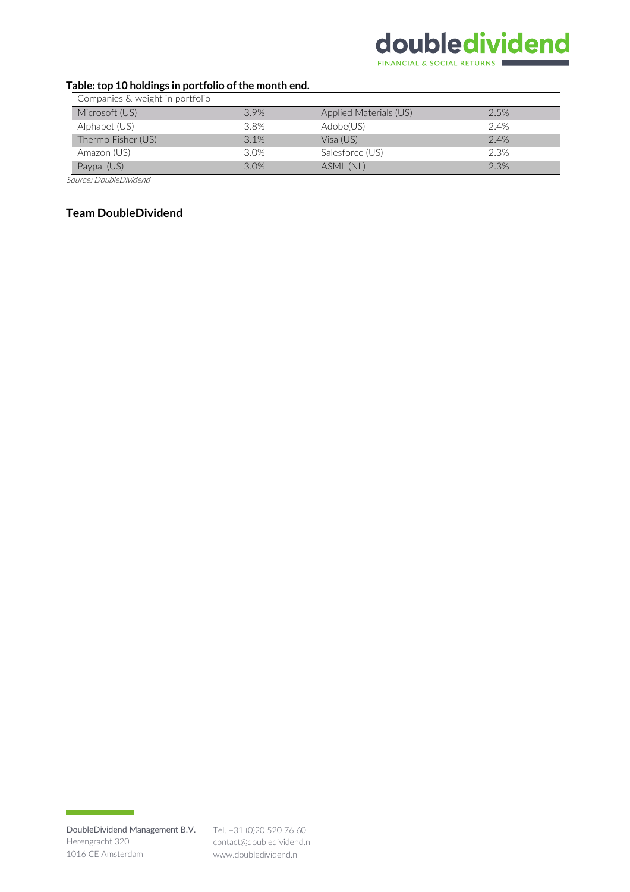# doubledividend

**FINANCIAL & SOCIAL RETURNS** 

## **Table: top 10 holdings in portfolio of the month end.**

| Companies & weight in portfolio |      |                        |      |
|---------------------------------|------|------------------------|------|
| Microsoft (US)                  | 3.9% | Applied Materials (US) | 2.5% |
| Alphabet (US)                   | 3.8% | Adobe(US)              | 2.4% |
| Thermo Fisher (US)              | 3.1% | Visa (US)              | 2.4% |
| Amazon (US)                     | 3.0% | Salesforce (US)        | 2.3% |
| Paypal (US)                     | 3.0% | ASML (NL)              | 2.3% |

Source: DoubleDividend

## **Team DoubleDividend**

DoubleDividend Management B.V. Tel. +31 (0)20 520 76 60 Herengracht 320 1016 CE Amsterdam

contact@doubledividend.nl www.doubledividend.nl